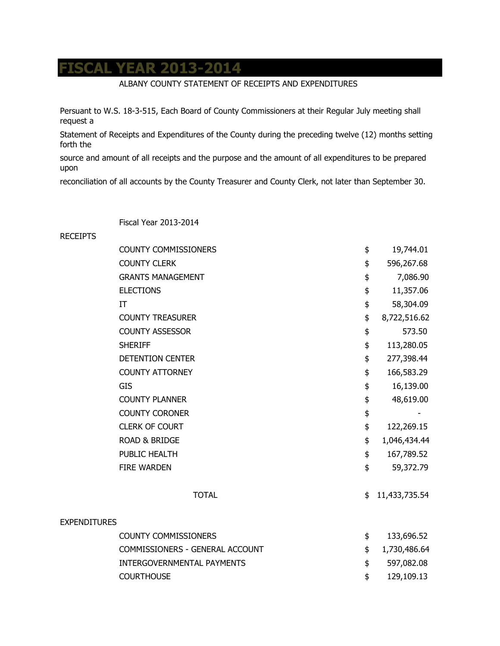## **FISCAL YEAR 2013-2014**

## ALBANY COUNTY STATEMENT OF RECEIPTS AND EXPENDITURES

Persuant to W.S. 18-3-515, Each Board of County Commissioners at their Regular July meeting shall request a

Statement of Receipts and Expenditures of the County during the preceding twelve (12) months setting forth the

source and amount of all receipts and the purpose and the amount of all expenditures to be prepared upon

reconciliation of all accounts by the County Treasurer and County Clerk, not later than September 30.

Fiscal Year 2013-2014

## RECEIPTS

|                     | <b>COUNTY COMMISSIONERS</b>     | \$<br>19,744.01     |
|---------------------|---------------------------------|---------------------|
|                     | <b>COUNTY CLERK</b>             | \$<br>596,267.68    |
|                     | <b>GRANTS MANAGEMENT</b>        | \$<br>7,086.90      |
|                     | <b>ELECTIONS</b>                | \$<br>11,357.06     |
|                     | IT                              | \$<br>58,304.09     |
|                     | <b>COUNTY TREASURER</b>         | \$<br>8,722,516.62  |
|                     | <b>COUNTY ASSESSOR</b>          | \$<br>573.50        |
|                     | <b>SHERIFF</b>                  | \$<br>113,280.05    |
|                     | <b>DETENTION CENTER</b>         | \$<br>277,398.44    |
|                     | <b>COUNTY ATTORNEY</b>          | \$<br>166,583.29    |
|                     | <b>GIS</b>                      | \$<br>16,139.00     |
|                     | <b>COUNTY PLANNER</b>           | \$<br>48,619.00     |
|                     | <b>COUNTY CORONER</b>           | \$                  |
|                     | <b>CLERK OF COURT</b>           | \$<br>122,269.15    |
|                     | <b>ROAD &amp; BRIDGE</b>        | \$<br>1,046,434.44  |
|                     | PUBLIC HEALTH                   | \$<br>167,789.52    |
|                     | <b>FIRE WARDEN</b>              | \$<br>59,372.79     |
|                     | <b>TOTAL</b>                    | \$<br>11,433,735.54 |
| <b>EXPENDITURES</b> |                                 |                     |
|                     | <b>COUNTY COMMISSIONERS</b>     | \$<br>133,696.52    |
|                     | COMMISSIONERS - GENERAL ACCOUNT | \$<br>1,730,486.64  |
|                     | INTERGOVERNMENTAL PAYMENTS      | \$<br>597,082.08    |
|                     | <b>COURTHOUSE</b>               | \$<br>129,109.13    |